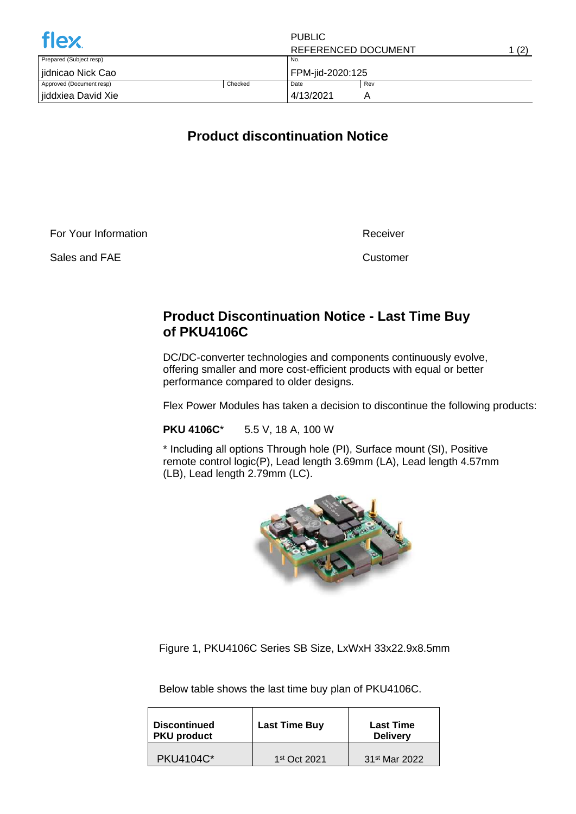| <b>flex</b>              |         | <b>PUBLIC</b>       |     |       |
|--------------------------|---------|---------------------|-----|-------|
|                          |         | REFERENCED DOCUMENT |     | 1 (2) |
| Prepared (Subject resp)  |         | No.                 |     |       |
| jidnicao Nick Cao        |         | FPM-jid-2020:125    |     |       |
| Approved (Document resp) | Checked | Date                | Rev |       |
| jiddxiea David Xie       |         | 4/13/2021           | Α   |       |

## **Product discontinuation Notice**

For Your Information

Sales and FAE

Receiver

Customer

## **Product Discontinuation Notice - Last Time Buy of PKU4106C**

DC/DC-converter technologies and components continuously evolve, offering smaller and more cost-efficient products with equal or better performance compared to older designs.

Flex Power Modules has taken a decision to discontinue the following products:

**PKU 4106C**\* 5.5 V, 18 A, 100 W

\* Including all options Through hole (PI), Surface mount (SI), Positive remote control logic(P), Lead length 3.69mm (LA), Lead length 4.57mm (LB), Lead length 2.79mm (LC).



Figure 1, PKU4106C Series SB Size, LxWxH 33x22.9x8.5mm

Below table shows the last time buy plan of PKU4106C.

| <b>Discontinued</b><br><b>PKU product</b> | <b>Last Time Buy</b> | <b>Last Time</b><br><b>Delivery</b> |  |
|-------------------------------------------|----------------------|-------------------------------------|--|
| <b>PKU4104C*</b>                          | $1st$ Oct 2021       | 31 <sup>st</sup> Mar 2022           |  |